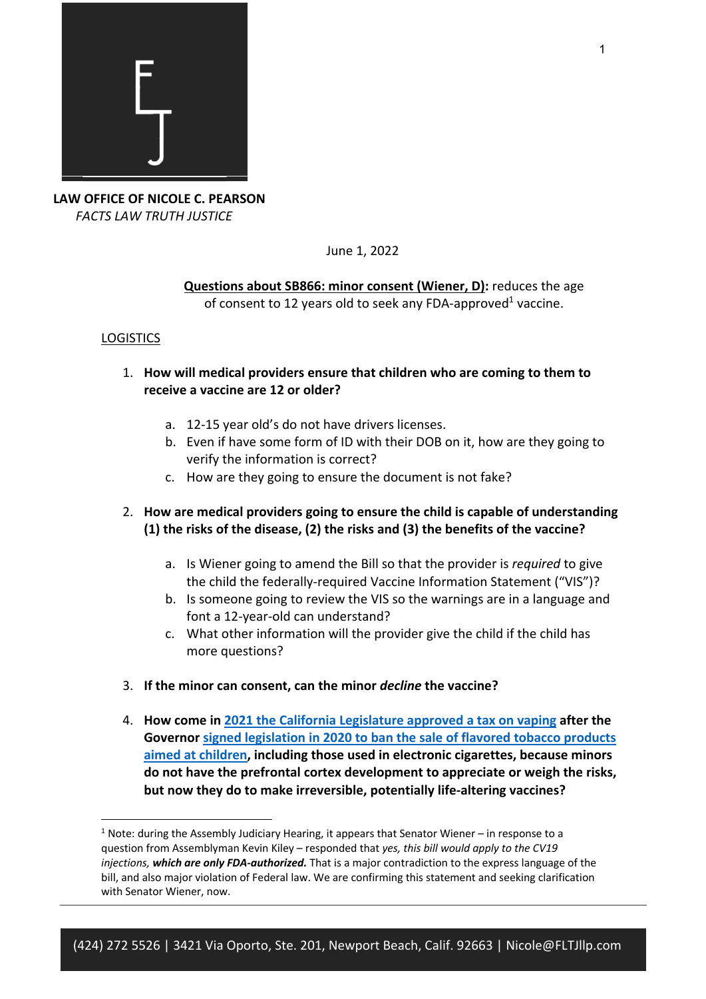

**LAW OFFICE OF NICOLE C. PEARSON**  *FACTS LAW TRUTH JUSTICE*

June 1, 2022

**Questions about SB866: minor consent (Wiener, D):** reduces the age of consent to 12 years old to seek any FDA-approved<sup>1</sup> vaccine.

# **LOGISTICS**

- 1. **How will medical providers ensure that children who are coming to them to receive a vaccine are 12 or older?**
	- a. 12-15 year old's do not have drivers licenses.
	- b. Even if have some form of ID with their DOB on it, how are they going to verify the information is correct?
	- c. How are they going to ensure the document is not fake?
- 2. **How are medical providers going to ensure the child is capable of understanding (1) the risks of the disease, (2) the risks and (3) the benefits of the vaccine?** 
	- a. Is Wiener going to amend the Bill so that the provider is *required* to give the child the federally-required Vaccine Information Statement ("VIS")?
	- b. Is someone going to review the VIS so the warnings are in a language and font a 12-year-old can understand?
	- c. What other information will the provider give the child if the child has more questions?
- 3. **If the minor can consent, can the minor** *decline* **the vaccine?**
- 4. **How come in 2021 the California Legislature approved a tax on vaping after the Governor signed legislation in 2020 to ban the sale of flavored tobacco products aimed at children, including those used in electronic cigarettes, because minors do not have the prefrontal cortex development to appreciate or weigh the risks, but now they do to make irreversible, potentially life-altering vaccines?**

 $<sup>1</sup>$  Note: during the Assembly Judiciary Hearing, it appears that Senator Wiener – in response to a</sup> question from Assemblyman Kevin Kiley – responded that *yes, this bill would apply to the CV19 injections, which are only FDA-authorized.* That is a major contradiction to the express language of the bill, and also major violation of Federal law. We are confirming this statement and seeking clarification with Senator Wiener, now.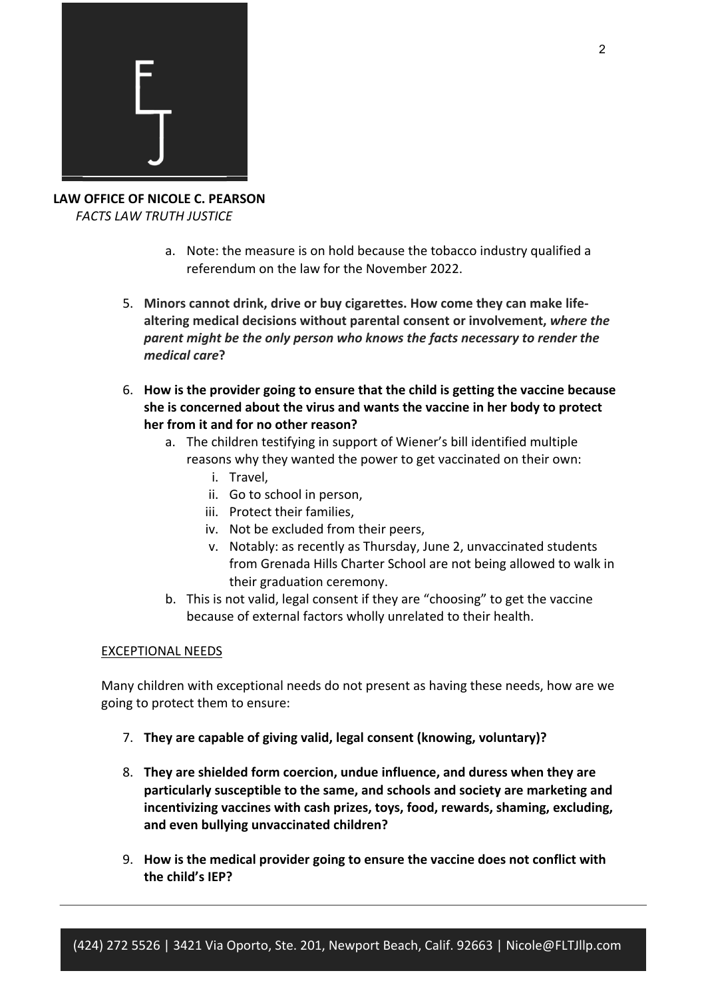

**LAW OFFICE OF NICOLE C. PEARSON**  *FACTS LAW TRUTH JUSTICE*

- a. Note: the measure is on hold because the tobacco industry qualified a referendum on the law for the November 2022.
- 5. **Minors cannot drink, drive or buy cigarettes. How come they can make lifealtering medical decisions without parental consent or involvement,** *where the parent might be the only person who knows the facts necessary to render the medical care***?**
- 6. **How is the provider going to ensure that the child is getting the vaccine because she is concerned about the virus and wants the vaccine in her body to protect her from it and for no other reason?** 
	- a. The children testifying in support of Wiener's bill identified multiple reasons why they wanted the power to get vaccinated on their own:
		- i. Travel,
		- ii. Go to school in person,
		- iii. Protect their families,
		- iv. Not be excluded from their peers,
		- v. Notably: as recently as Thursday, June 2, unvaccinated students from Grenada Hills Charter School are not being allowed to walk in their graduation ceremony.
	- b. This is not valid, legal consent if they are "choosing" to get the vaccine because of external factors wholly unrelated to their health.

# EXCEPTIONAL NEEDS

Many children with exceptional needs do not present as having these needs, how are we going to protect them to ensure:

- 7. **They are capable of giving valid, legal consent (knowing, voluntary)?**
- 8. **They are shielded form coercion, undue influence, and duress when they are particularly susceptible to the same, and schools and society are marketing and incentivizing vaccines with cash prizes, toys, food, rewards, shaming, excluding, and even bullying unvaccinated children?**
- 9. **How is the medical provider going to ensure the vaccine does not conflict with the child's IEP?**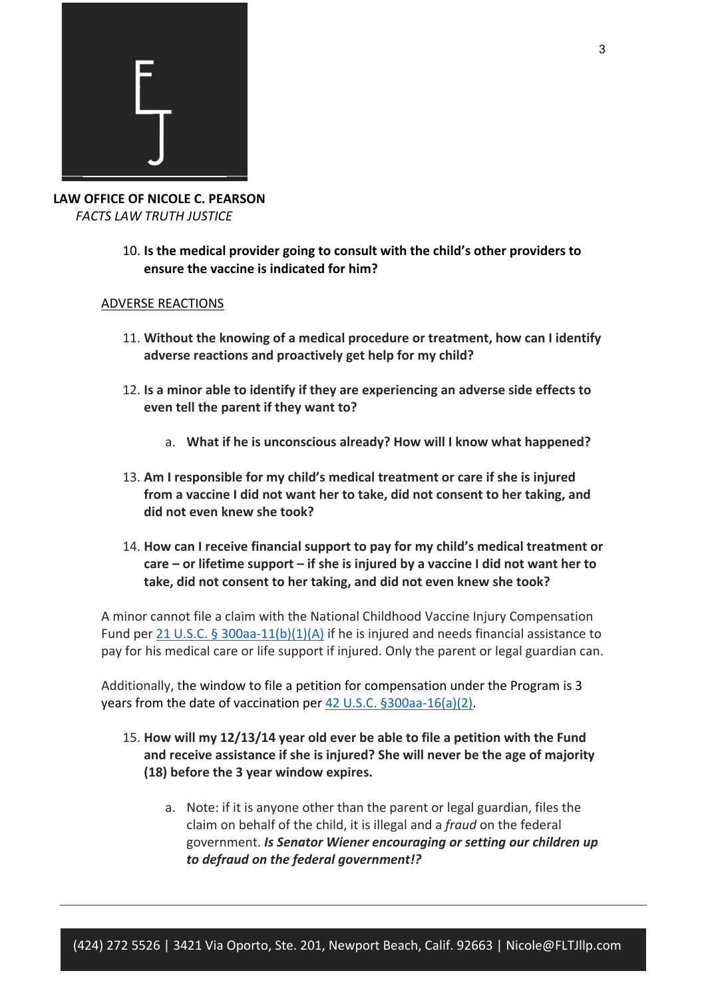

**LAW OFFICE OF NICOLE C. PEARSON**  *FACTS LAW TRUTH JUSTICE*

10. **Is the medical provider going to consult with the child's other providers to ensure the vaccine is indicated for him?** 

### ADVERSE REACTIONS

- 11. **Without the knowing of a medical procedure or treatment, how can I identify adverse reactions and proactively get help for my child?**
- 12. **Is a minor able to identify if they are experiencing an adverse side effects to even tell the parent if they want to?** 
	- a. **What if he is unconscious already? How will I know what happened?**
- 13. **Am I responsible for my child's medical treatment or care if she is injured from a vaccine I did not want her to take, did not consent to her taking, and did not even knew she took?**
- 14. **How can I receive financial support to pay for my child's medical treatment or care – or lifetime support – if she is injured by a vaccine I did not want her to take, did not consent to her taking, and did not even knew she took?**

A minor cannot file a claim with the National Childhood Vaccine Injury Compensation Fund per 21 U.S.C. § 300aa-11(b)(1)(A) if he is injured and needs financial assistance to pay for his medical care or life support if injured. Only the parent or legal guardian can.

Additionally, the window to file a petition for compensation under the Program is 3 years from the date of vaccination per 42 U.S.C. §300aa-16(a)(2).

- 15. **How will my 12/13/14 year old ever be able to file a petition with the Fund and receive assistance if she is injured? She will never be the age of majority (18) before the 3 year window expires.**
	- a. Note: if it is anyone other than the parent or legal guardian, files the claim on behalf of the child, it is illegal and a *fraud* on the federal government. *Is Senator Wiener encouraging or setting our children up to defraud on the federal government!?*